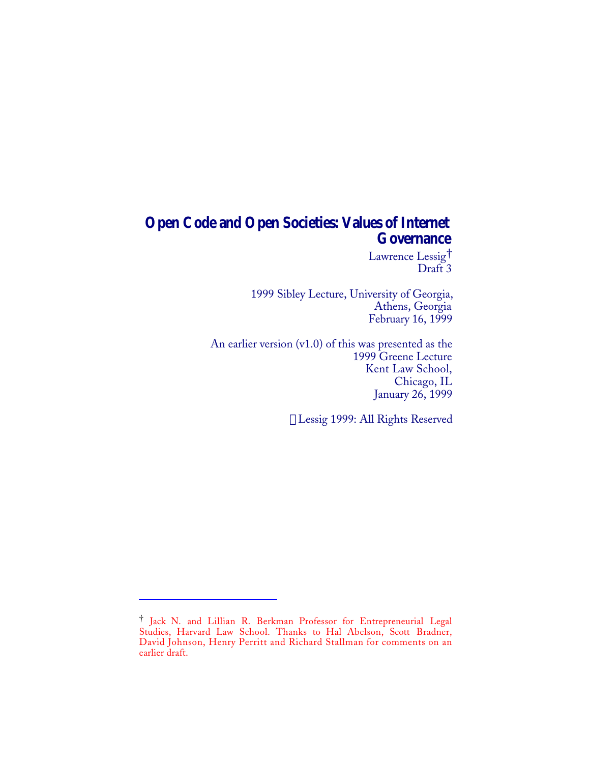## **Open Code and Open Societies: Values of Internet Governance**

Lawrence Lessig† Draft 3

1999 Sibley Lecture, University of Georgia, Athens, Georgia February 16, 1999

An earlier version (v1.0) of this was presented as the 1999 Greene Lecture Kent Law School, Chicago, IL January 26, 1999

Lessig 1999: All Rights Reserved

 $\overline{a}$ 

<sup>†</sup> Jack N. and Lillian R. Berkman Professor for Entrepreneurial Legal Studies, Harvard Law School. Thanks to Hal Abelson, Scott Bradner, David Johnson, Henry Perritt and Richard Stallman for comments on an earlier draft.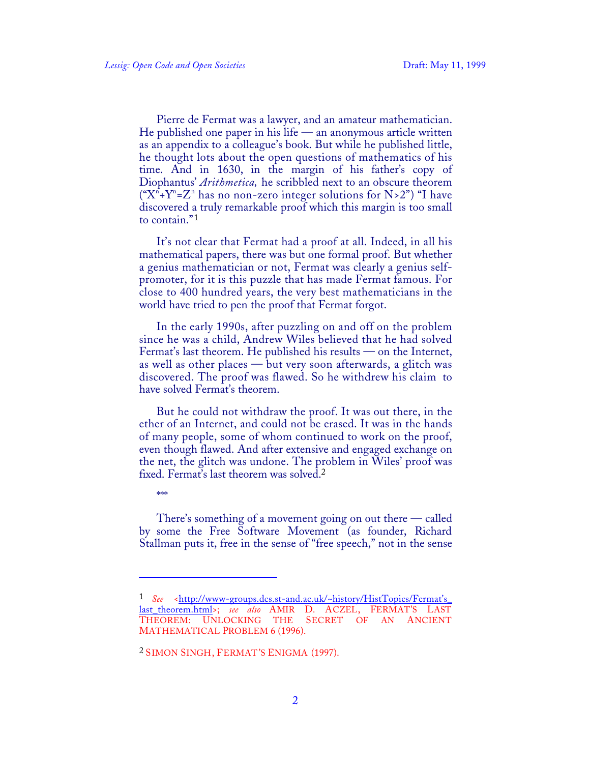\*\*\*

1

Pierre de Fermat was a lawyer, and an amateur mathematician. He published one paper in his life — an anonymous article written as an appendix to a colleague's book. But while he published little, he thought lots about the open questions of mathematics of his time. And in 1630, in the margin of his father's copy of Diophantus' *Arithmetica,* he scribbled next to an obscure theorem (" $X^{n}+Y^{n}=Z^{n}$  has no non-zero integer solutions for N>2") "I have discovered a truly remarkable proof which this margin is too small to contain."<sup>1</sup>

It's not clear that Fermat had a proof at all. Indeed, in all his mathematical papers, there was but one formal proof. But whether a genius mathematician or not, Fermat was clearly a genius selfpromoter, for it is this puzzle that has made Fermat famous. For close to 400 hundred years, the very best mathematicians in the world have tried to pen the proof that Fermat forgot.

In the early 1990s, after puzzling on and off on the problem since he was a child, Andrew Wiles believed that he had solved Fermat's last theorem. He published his results — on the Internet, as well as other places — but very soon afterwards, a glitch was discovered. The proof was flawed. So he withdrew his claim to have solved Fermat's theorem.

But he could not withdraw the proof. It was out there, in the ether of an Internet, and could not be erased. It was in the hands of many people, some of whom continued to work on the proof, even though flawed. And after extensive and engaged exchange on the net, the glitch was undone. The problem in Wiles' proof was fixed. Fermat's last theorem was solved.<sup>2</sup>

There's something of a movement going on out there — called by some the Free Software Movement (as founder, Richard Stallman puts it, free in the sense of "free speech," not in the sense

<sup>1</sup> *See* < http://www-groups.dcs.st-and.ac.uk/~history/HistTopics/Fermat's\_ last\_theorem.html >; *see also* AMIR D. ACZEL, FERMAT'S LAST THEOREM: UNLOCKING THE MATHEMATICAL PROBLEM 6 (1996).

<sup>2</sup> SIMON SINGH, FERMAT'S ENIGMA (1997).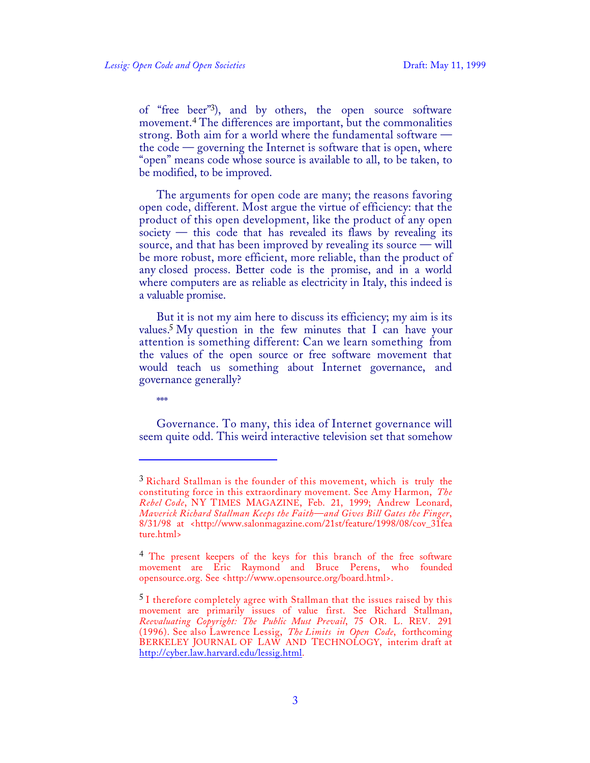of "free beer"3), and by others, the open source software movement.4 The differences are important, but the commonalities strong. Both aim for a world where the fundamental software the code — governing the Internet is software that is open, where "open" means code whose source is available to all, to be taken, to be modified, to be improved.

The arguments for open code are many; the reasons favoring open code, different. Most argue the virtue of efficiency: that the product of this open development, like the product of any open society  $-$  this code that has revealed its flaws by revealing its source, and that has been improved by revealing its source — will be more robust, more efficient, more reliable, than the product of any closed process. Better code is the promise, and in a world where computers are as reliable as electricity in Italy, this indeed is a valuable promise.

But it is not my aim here to discuss its efficiency; my aim is its values.5 My question in the few minutes that I can have your attention is something different: Can we learn something from the values of the open source or free software movement that would teach us something about Internet governance, and governance generally?

\*\*\*

1

Governance. To many, this idea of Internet governance will seem quite odd. This weird interactive television set that somehow

<sup>&</sup>lt;sup>3</sup> Richard Stallman is the founder of this movement, which is truly the constituting force in this extraordinary movement. See Amy Harmon, *The Rebel Code*, NY TIMES MAGAZINE, Feb. 21, 1999; Andrew Leonard, *Maverick Richard Stallman Keeps the Faith—and Gives Bill Gates the Finger*, 8/31/98 at <http://www.salonmagazine.com/21st/feature/1998/08/cov\_31fea ture.html>

<sup>4</sup> The present keepers of the keys for this branch of the free software movement are Eric Raymond and Bruce Perens, who founded opensource.org. See <http://www.opensource.org/board.html>.

<sup>5</sup> I therefore completely agree with Stallman that the issues raised by this movement are primarily issues of value first. See Richard Stallman, *Reevaluating Copyright: The Public Must Prevail*, 75 OR. L. REV. 291 (1996). See also Lawrence Lessig, *The Limits in Open Code*, forthcoming BERKELEY JOURNAL OF LAW AND TECHNOLOGY, interim draft at http://cyber.law.harvard.edu/lessig.html.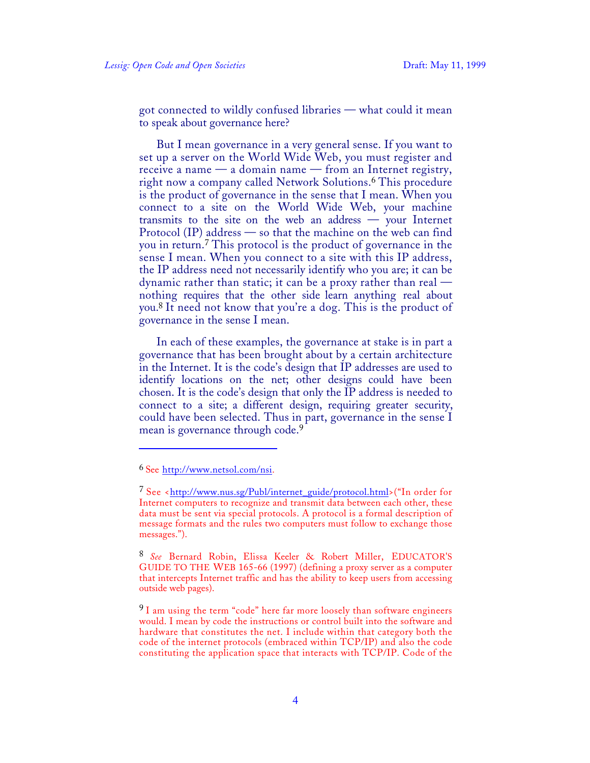got connected to wildly confused libraries — what could it mean to speak about governance here?

But I mean governance in a very general sense. If you want to set up a server on the World Wide Web, you must register and receive a name — a domain name — from an Internet registry, right now a company called Network Solutions.6 This procedure is the product of governance in the sense that I mean. When you connect to a site on the World Wide Web, your machine transmits to the site on the web an address — your Internet Protocol (IP) address — so that the machine on the web can find you in return.7 This protocol is the product of governance in the sense I mean. When you connect to a site with this IP address, the IP address need not necessarily identify who you are; it can be dynamic rather than static; it can be a proxy rather than real nothing requires that the other side learn anything real about you.8 It need not know that you're a dog. This is the product of governance in the sense I mean.

In each of these examples, the governance at stake is in part a governance that has been brought about by a certain architecture in the Internet. It is the code's design that IP addresses are used to identify locations on the net; other designs could have been chosen. It is the code's design that only the IP address is needed to connect to a site; a different design, requiring greater security, could have been selected. Thus in part, governance in the sense I mean is governance through code.<sup>9</sup>

1

<sup>&</sup>lt;sup>6</sup> See http://www.netsol.com/nsi.

<sup>7</sup> See < http://www.nus.sg/Publ/internet\_guide/protocol.html >("In order for Internet computers to recognize and transmit data between each other, these data must be sent via special protocols. A protocol is a formal description of message formats and the rules two computers must follow to exchange those messages.").

<sup>8</sup> *See* Bernard Robin, Elissa Keeler & Robert Miller, EDUCATOR'S GUIDE TO THE WEB 165-66 (1997) (defining a proxy server as a computer that intercepts Internet traffic and has the ability to keep users from accessing outside web pages).

<sup>&</sup>lt;sup>9</sup> I am using the term "code" here far more loosely than software engineers would. I mean by code the instructions or control built into the software and hardware that constitutes the net. I include within that category both the code of the internet protocols (embraced within TCP/IP) and also the code constituting the application space that interacts with TCP/IP. Code of the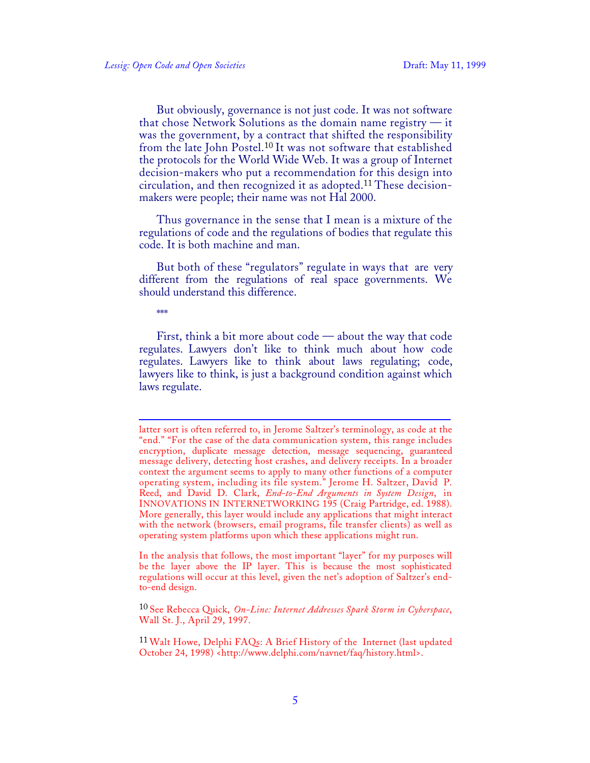But obviously, governance is not just code. It was not software that chose Network Solutions as the domain name registry  $-$  it was the government, by a contract that shifted the responsibility from the late John Postel.10 It was not software that established the protocols for the World Wide Web. It was a group of Internet decision-makers who put a recommendation for this design into circulation, and then recognized it as adopted.11 These decisionmakers were people; their name was not Hal 2000.

Thus governance in the sense that I mean is a mixture of the regulations of code and the regulations of bodies that regulate this code. It is both machine and man.

But both of these "regulators" regulate in ways that are very different from the regulations of real space governments. We should understand this difference.

\*\*\*\*

First, think a bit more about code — about the way that code regulates. Lawyers don't like to think much about how code regulates. Lawyers like to think about laws regulating; code, lawyers like to think, is just a background condition against which laws regulate.

In the analysis that follows, the most important "layer" for my purposes will be the layer above the IP layer. This is because the most sophisticated regulations will occur at this level, given the net's adoption of Saltzer's endto-end design.

10 See Rebecca Quick, *On-Line: Internet Addresses Spark Storm in Cyberspace*, Wall St. J., April 29, 1997.

<sup>11</sup> Walt Howe, Delphi FAQs: A Brief History of the Internet (last updated October 24, 1998) <http://www.delphi.com/navnet/faq/history.html>.

<sup>1</sup> latter sort is often referred to, in Jerome Saltzer's terminology, as code at the "end." "For the case of the data communication system, this range includes encryption, duplicate message detection, message sequencing, guaranteed message delivery, detecting host crashes, and delivery receipts. In a broader context the argument seems to apply to many other functions of a computer operating system, including its file system." Jerome H. Saltzer, David P. Reed, and David D. Clark, *End-to-End Arguments in System Design*, in INNOVATIONS IN INTERNETWORKING 195 (Craig Partridge, ed. 1988). More generally, this layer would include any applications that might interact with the network (browsers, email programs, file transfer clients) as well as operating system platforms upon which these applications might run.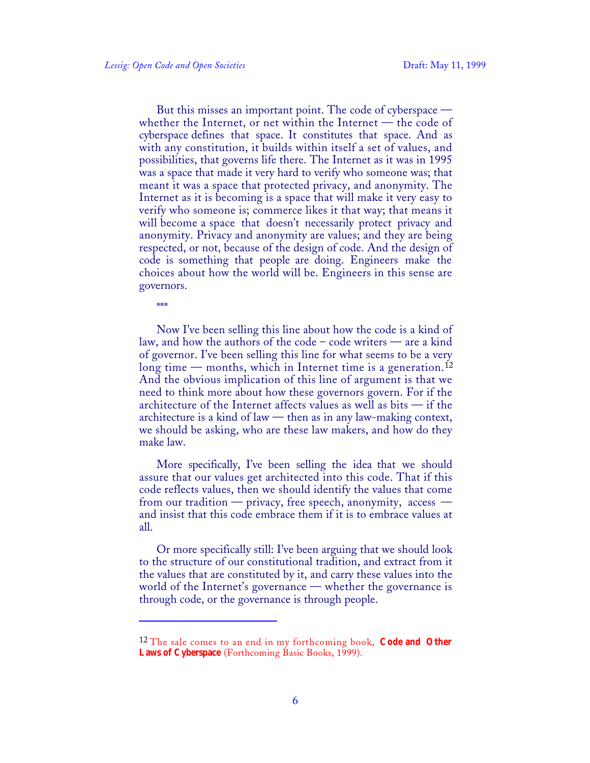But this misses an important point. The code of cyberspace whether the Internet, or net within the Internet — the code of cyberspace defines that space. It constitutes that space. And as with any constitution, it builds within itself a set of values, and possibilities, that governs life there. The Internet as it was in 1995 was a space that made it very hard to verify who someone was; that meant it was a space that protected privacy, and anonymity. The Internet as it is becoming is a space that will make it very easy to verify who someone is; commerce likes it that way; that means it will become a space that doesn't necessarily protect privacy and anonymity. Privacy and anonymity are values; and they are being respected, or not, because of the design of code. And the design of code is something that people are doing. Engineers make the choices about how the world will be. Engineers in this sense are governors.

\*\*\*

1

Now I've been selling this line about how the code is a kind of law, and how the authors of the code – code writers — are a kind of governor. I've been selling this line for what seems to be a very long time — months, which in Internet time is a generation.<sup>12</sup> And the obvious implication of this line of argument is that we need to think more about how these governors govern. For if the architecture of the Internet affects values as well as bits  $-$  if the architecture is a kind of law — then as in any law-making context, we should be asking, who are these law makers, and how do they make law.

More specifically, I've been selling the idea that we should assure that our values get architected into this code. That if this code reflects values, then we should identify the values that come from our tradition — privacy, free speech, anonymity, access and insist that this code embrace them if it is to embrace values at all.

Or more specifically still: I've been arguing that we should look to the structure of our constitutional tradition, and extract from it the values that are constituted by it, and carry these values into the world of the Internet's governance — whether the governance is through code, or the governance is through people.

<sup>12</sup> The sale comes to an end in my forthcoming book, **Code and Other Laws of Cyberspace** (Forthcoming Basic Books, 1999).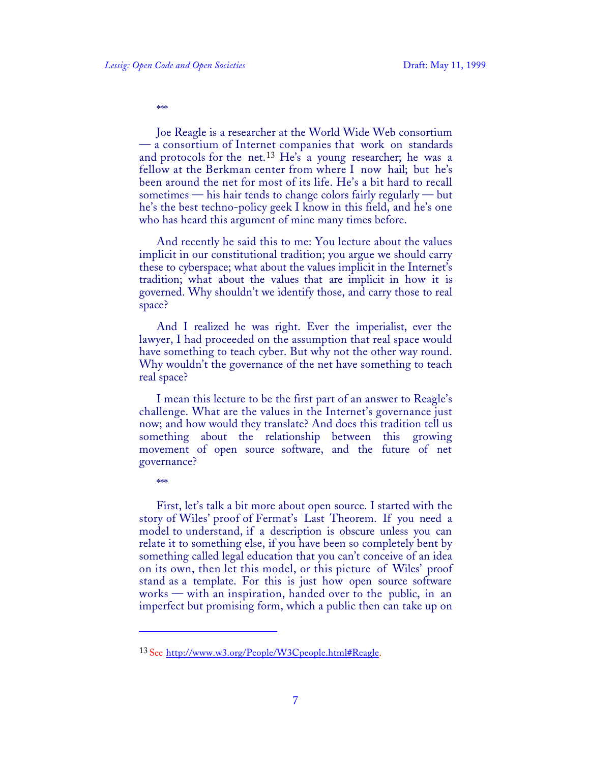\*\*\*

Joe Reagle is a researcher at the World Wide Web consortium — a consortium of Internet companies that work on standards and protocols for the net.<sup>13</sup> He's a young researcher; he was a fellow at the Berkman center from where I now hail; but he's been around the net for most of its life. He's a bit hard to recall sometimes — his hair tends to change colors fairly regularly — but he's the best techno-policy geek I know in this field, and he's one who has heard this argument of mine many times before.

And recently he said this to me: You lecture about the values implicit in our constitutional tradition; you argue we should carry these to cyberspace; what about the values implicit in the Internet's tradition; what about the values that are implicit in how it is governed. Why shouldn't we identify those, and carry those to real space?

And I realized he was right. Ever the imperialist, ever the lawyer, I had proceeded on the assumption that real space would have something to teach cyber. But why not the other way round. Why wouldn't the governance of the net have something to teach real space?

I mean this lecture to be the first part of an answer to Reagle's challenge. What are the values in the Internet's governance just now; and how would they translate? And does this tradition tell us something about the relationship between this growing movement of open source software, and the future of net governance?

 $*$ 

 $\overline{a}$ 

First, let's talk a bit more about open source. I started with the story of Wiles' proof of Fermat's Last Theorem. If you need a model to understand, if a description is obscure unless you can relate it to something else, if you have been so completely bent by something called legal education that you can't conceive of an idea on its own, then let this model, or this picture of Wiles' proof stand as a template. For this is just how open source software works — with an inspiration, handed over to the public, in an imperfect but promising form, which a public then can take up on

<sup>&</sup>lt;sup>13</sup> See http://www.w3.org/People/W3Cpeople.html#Reagle.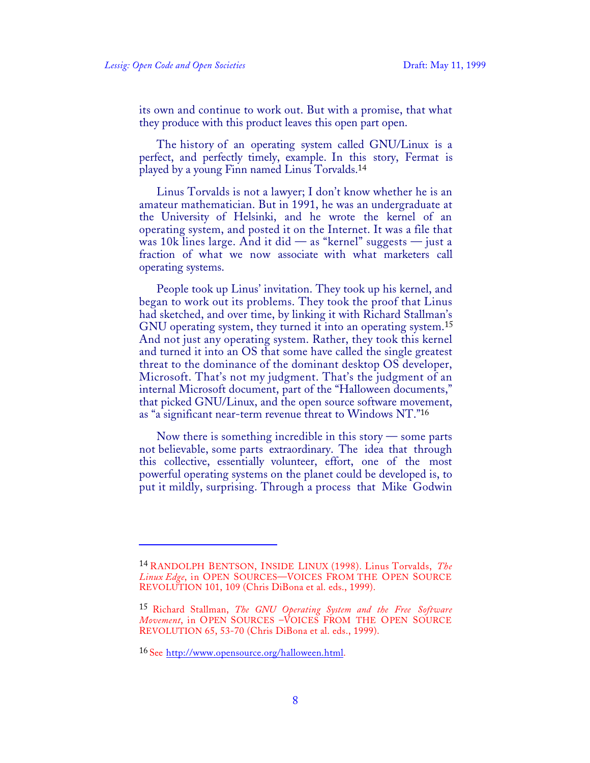its own and continue to work out. But with a promise, that what they produce with this product leaves this open part open.

The history of an operating system called GNU/Linux is a perfect, and perfectly timely, example. In this story, Fermat is played by a young Finn named Linus Torvalds.<sup>14</sup>

Linus Torvalds is not a lawyer; I don't know whether he is an amateur mathematician. But in 1991, he was an undergraduate at the University of Helsinki, and he wrote the kernel of an operating system, and posted it on the Internet. It was a file that was 10k lines large. And it did — as "kernel" suggests — just a fraction of what we now associate with what marketers call operating systems.

People took up Linus' invitation. They took up his kernel, and began to work out its problems. They took the proof that Linus had sketched, and over time, by linking it with Richard Stallman's GNU operating system, they turned it into an operating system.<sup>15</sup> And not just any operating system. Rather, they took this kernel and turned it into an OS that some have called the single greatest threat to the dominance of the dominant desktop OS developer, Microsoft. That's not my judgment. That's the judgment of an internal Microsoft document, part of the "Halloween documents," that picked GNU/Linux, and the open source software movement, as "a significant near-term revenue threat to Windows NT."<sup>16</sup>

Now there is something incredible in this story — some parts not believable, some parts extraordinary. The idea that through this collective, essentially volunteer, effort, one of the most powerful operating systems on the planet could be developed is, to put it mildly, surprising. Through a process that Mike Godwin

 $\overline{a}$ 

<sup>14</sup> RANDOLPH BENTSON, INSIDE LINUX (1998). Linus Torvalds, *The Linux Edge*, in OPEN SOURCES—VOICES FROM THE OPEN SOURCE REVOLUTION 101, 109 (Chris DiBona et al. eds., 1999).

<sup>15</sup> Richard Stallman, *The GNU Operating System and the Free Software Movement*, in OPEN SOURCES –VOICES FROM THE OPEN SOURCE REVOLUTION 65, 53-70 (Chris DiBona et al. eds., 1999).

<sup>16</sup> See http://www.opensource.org/halloween.html.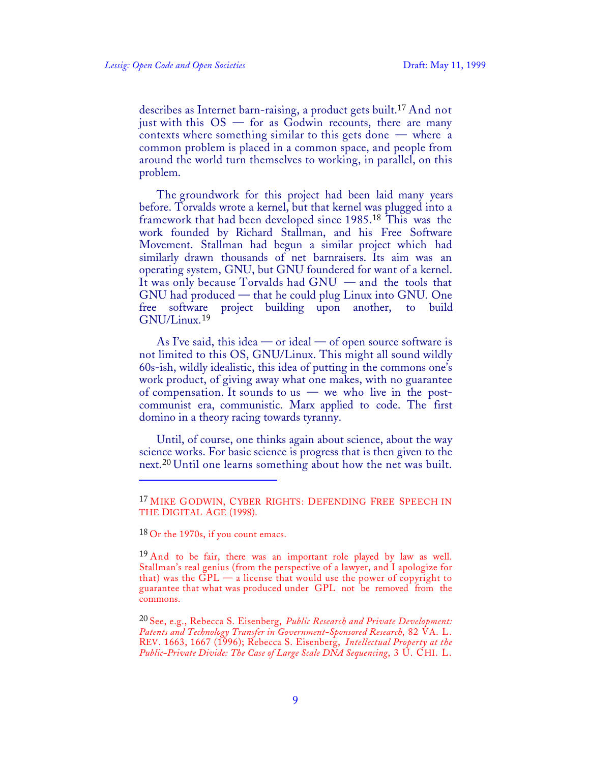describes as Internet barn-raising, a product gets built.17 And not just with this  $OS -$  for as Godwin recounts, there are many contexts where something similar to this gets done — where a common problem is placed in a common space, and people from around the world turn themselves to working, in parallel, on this problem.

The groundwork for this project had been laid many years before. Torvalds wrote a kernel, but that kernel was plugged into a framework that had been developed since 1985.<sup>18</sup> This was the work founded by Richard Stallman, and his Free Software Movement. Stallman had begun a similar project which had similarly drawn thousands of net barnraisers. Its aim was an operating system, GNU, but GNU foundered for want of a kernel. It was only because Torvalds had GNU — and the tools that GNU had produced — that he could plug Linux into GNU. One free software project building upon another, to build GNU/Linux.<sup>19</sup>

As I've said, this idea — or ideal — of open source software is not limited to this OS, GNU/Linux. This might all sound wildly 60s-ish, wildly idealistic, this idea of putting in the commons one's work product, of giving away what one makes, with no guarantee of compensation. It sounds to us  $-$  we who live in the postcommunist era, communistic. Marx applied to code. The first domino in a theory racing towards tyranny.

Until, of course, one thinks again about science, about the way science works. For basic science is progress that is then given to the next.<sup>20</sup> Until one learns something about how the net was built.

1

<sup>&</sup>lt;sup>17</sup> MIKE GODWIN, CYBER RIGHTS: DEFENDING FREE SPEECH IN THE DIGITAL AGE (1998).

 $18$  Or the 1970s, if you count emacs.

<sup>&</sup>lt;sup>19</sup> And to be fair, there was an important role played by law as well. Stallman's real genius (from the perspective of a lawyer, and I apologize for that) was the  $GPL - a$  license that would use the power of copyright to guarantee that what was produced under GPL not be removed from the commons.

<sup>20</sup> See, e.g., Rebecca S. Eisenberg, *Public Research and Private Development: Patents and Technology Transfer in Government-Sponsored Research*, 82 VA. L. REV. 1663, 1667 (1996); Rebecca S. Eisenberg, *Intellectual Property at the Public-Private Divide: The Case of Large Scale DNA Sequencing*, 3 U. CHI. L.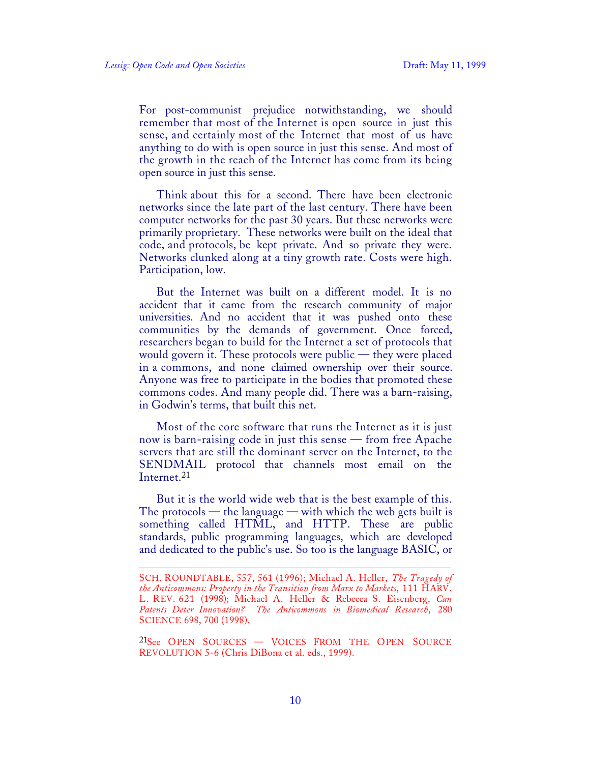$\overline{a}$ 

For post-communist prejudice notwithstanding, we should remember that most of the Internet is open source in just this sense, and certainly most of the Internet that most of us have anything to do with is open source in just this sense. And most of the growth in the reach of the Internet has come from its being open source in just this sense.

Think about this for a second. There have been electronic networks since the late part of the last century. There have been computer networks for the past 30 years. But these networks were primarily proprietary. These networks were built on the ideal that code, and protocols, be kept private. And so private they were. Networks clunked along at a tiny growth rate. Costs were high. Participation, low.

But the Internet was built on a different model. It is no accident that it came from the research community of major universities. And no accident that it was pushed onto these communities by the demands of government. Once forced, researchers began to build for the Internet a set of protocols that would govern it. These protocols were public — they were placed in a commons, and none claimed ownership over their source. Anyone was free to participate in the bodies that promoted these commons codes. And many people did. There was a barn-raising, in Godwin's terms, that built this net.

Most of the core software that runs the Internet as it is just now is barn-raising code in just this sense — from free Apache servers that are still the dominant server on the Internet, to the SENDMAIL protocol that channels most email on the Internet.<sup>21</sup>

But it is the world wide web that is the best example of this. The protocols — the language — with which the web gets built is something called HTML, and HTTP. These are public standards, public programming languages, which are developed and dedicated to the public's use. So too is the language BASIC, or

SCH. ROUNDTABLE, 557, 561 (1996); Michael A. Heller, *The Tragedy of the Anticommons: Property in the Transition from Marx to Markets*, 111 HARV. L. REV. 621 (1998); Michael A. Heller & Rebecca S. Eisenberg, *Can Patents Deter Innovation? The Anticommons in Biomedical Research*, 280 SCIENCE 698, 700 (1998).

<sup>21</sup>See OPEN SOURCES — VOICES FROM THE OPEN SOURCE REVOLUTION 5-6 (Chris DiBona et al. eds., 1999).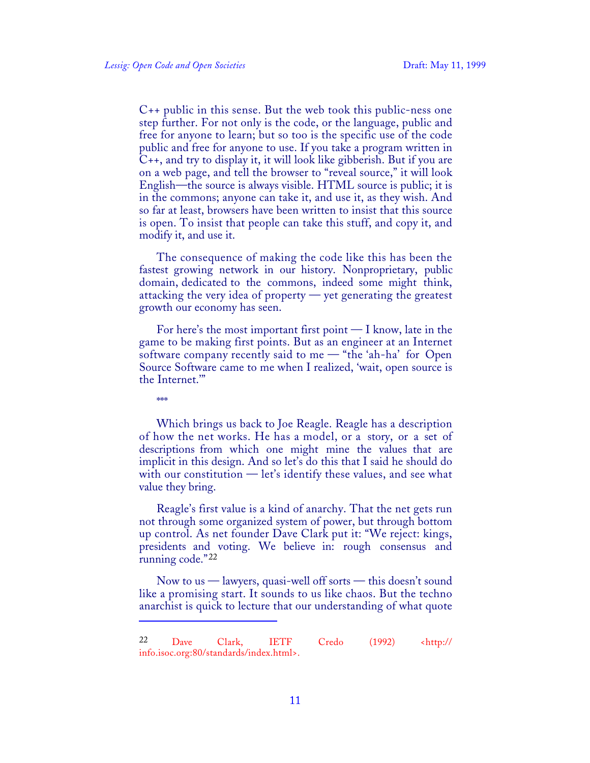C++ public in this sense. But the web took this public-ness one step further. For not only is the code, or the language, public and free for anyone to learn; but so too is the specific use of the code public and free for anyone to use. If you take a program written in C++, and try to display it, it will look like gibberish. But if you are on a web page, and tell the browser to "reveal source," it will look English—the source is always visible. HTML source is public; it is in the commons; anyone can take it, and use it, as they wish. And so far at least, browsers have been written to insist that this source is open. To insist that people can take this stuff, and copy it, and modify it, and use it.

The consequence of making the code like this has been the fastest growing network in our history. Nonproprietary, public domain, dedicated to the commons, indeed some might think, attacking the very idea of property — yet generating the greatest growth our economy has seen.

For here's the most important first point  $-I$  know, late in the game to be making first points. But as an engineer at an Internet software company recently said to me — "the 'ah-ha' for Open Source Software came to me when I realized, 'wait, open source is the Internet.'"

\*\*\*

1

Which brings us back to Joe Reagle. Reagle has a description of how the net works. He has a model, or a story, or a set of descriptions from which one might mine the values that are implicit in this design. And so let's do this that I said he should do with our constitution — let's identify these values, and see what value they bring.

Reagle's first value is a kind of anarchy. That the net gets run not through some organized system of power, but through bottom up control. As net founder Dave Clark put it: "We reject: kings, presidents and voting. We believe in: rough consensus and running code."<sup>22</sup>

Now to us — lawyers, quasi-well off sorts — this doesn't sound like a promising start. It sounds to us like chaos. But the techno anarchist is quick to lecture that our understanding of what quote

<sup>22</sup> Dave Clark, IETF Credo (1992) <http:// info.isoc.org:80/standards/index.html>.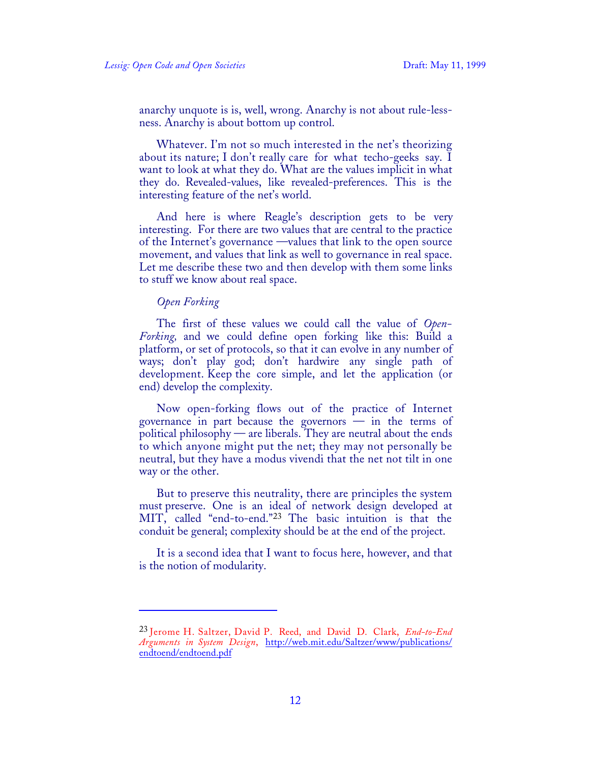anarchy unquote is is, well, wrong. Anarchy is not about rule-lessness. Anarchy is about bottom up control.

Whatever. I'm not so much interested in the net's theorizing about its nature; I don't really care for what techo-geeks say. I want to look at what they do. What are the values implicit in what they do. Revealed-values, like revealed-preferences. This is the interesting feature of the net's world.

And here is where Reagle's description gets to be very interesting. For there are two values that are central to the practice of the Internet's governance —values that link to the open source movement, and values that link as well to governance in real space. Let me describe these two and then develop with them some links to stuff we know about real space.

## *Open Forking*

1

The first of these values we could call the value of *Open-Forking,* and we could define open forking like this: Build a platform, or set of protocols, so that it can evolve in any number of ways; don't play god; don't hardwire any single path of development. Keep the core simple, and let the application (or end) develop the complexity.

Now open-forking flows out of the practice of Internet governance in part because the governors — in the terms of political philosophy — are liberals. They are neutral about the ends to which anyone might put the net; they may not personally be neutral, but they have a modus vivendi that the net not tilt in one way or the other.

But to preserve this neutrality, there are principles the system must preserve. One is an ideal of network design developed at MIT, called "end-to-end."<sup>23</sup> The basic intuition is that the conduit be general; complexity should be at the end of the project.

It is a second idea that I want to focus here, however, and that is the notion of modularity.

<sup>23</sup> Jerome H. Saltzer, David P. Reed, and David D. Clark, *End-to-End Arguments in System Design*, http://web.mit.edu/Saltzer/www/publications/ endtoend/endtoend.pdf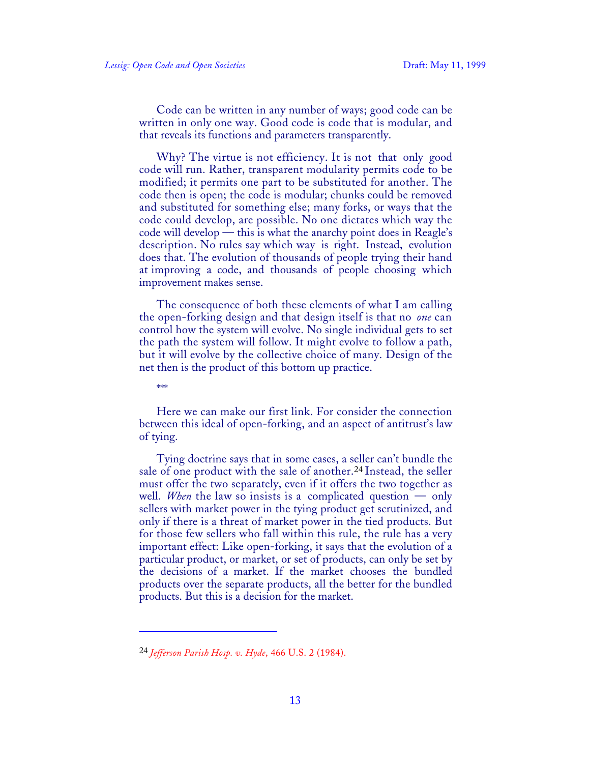Code can be written in any number of ways; good code can be written in only one way. Good code is code that is modular, and that reveals its functions and parameters transparently.

Why? The virtue is not efficiency. It is not that only good code will run. Rather, transparent modularity permits code to be modified; it permits one part to be substituted for another. The code then is open; the code is modular; chunks could be removed and substituted for something else; many forks, or ways that the code could develop, are possible. No one dictates which way the code will develop — this is what the anarchy point does in Reagle's description. No rules say which way is right. Instead, evolution does that. The evolution of thousands of people trying their hand at improving a code, and thousands of people choosing which improvement makes sense.

The consequence of both these elements of what I am calling the open-forking design and that design itself is that no *one* can control how the system will evolve. No single individual gets to set the path the system will follow. It might evolve to follow a path, but it will evolve by the collective choice of many. Design of the net then is the product of this bottom up practice.

\*\*\*

 $\overline{a}$ 

Here we can make our first link. For consider the connection between this ideal of open-forking, and an aspect of antitrust's law of tying.

Tying doctrine says that in some cases, a seller can't bundle the sale of one product with the sale of another.24 Instead, the seller must offer the two separately, even if it offers the two together as well. *When* the law so insists is a complicated question — only sellers with market power in the tying product get scrutinized, and only if there is a threat of market power in the tied products. But for those few sellers who fall within this rule, the rule has a very important effect: Like open-forking, it says that the evolution of a particular product, or market, or set of products, can only be set by the decisions of a market. If the market chooses the bundled products over the separate products, all the better for the bundled products. But this is a decision for the market.

<sup>24</sup> *Jefferson Parish Hosp. v. Hyde*, 466 U.S. 2 (1984).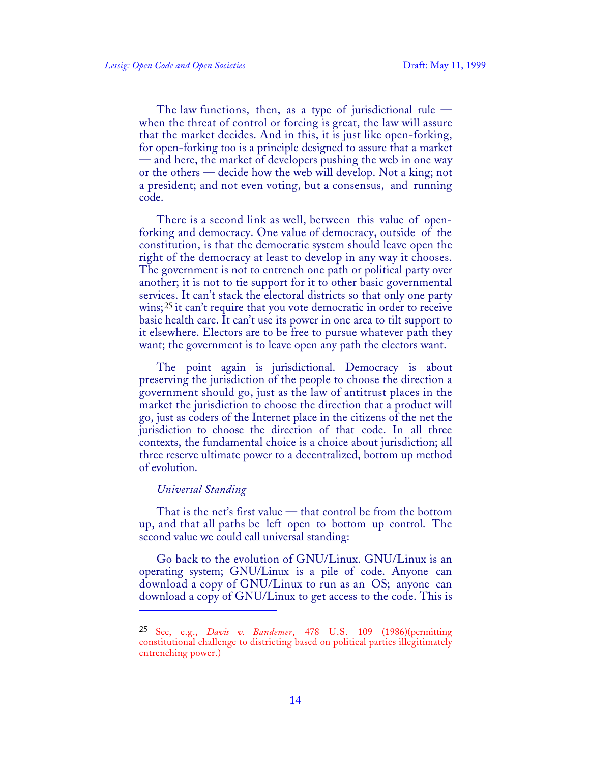The law functions, then, as a type of jurisdictional rule  $$ when the threat of control or forcing is great, the law will assure that the market decides. And in this, it is just like open-forking, for open-forking too is a principle designed to assure that a market — and here, the market of developers pushing the web in one way or the others — decide how the web will develop. Not a king; not a president; and not even voting, but a consensus, and running code.

There is a second link as well, between this value of openforking and democracy. One value of democracy, outside of the constitution, is that the democratic system should leave open the right of the democracy at least to develop in any way it chooses. The government is not to entrench one path or political party over another; it is not to tie support for it to other basic governmental services. It can't stack the electoral districts so that only one party wins;<sup>25</sup> it can't require that you vote democratic in order to receive basic health care. It can't use its power in one area to tilt support to it elsewhere. Electors are to be free to pursue whatever path they want; the government is to leave open any path the electors want.

The point again is jurisdictional. Democracy is about preserving the jurisdiction of the people to choose the direction a government should go, just as the law of antitrust places in the market the jurisdiction to choose the direction that a product will go, just as coders of the Internet place in the citizens of the net the jurisdiction to choose the direction of that code. In all three contexts, the fundamental choice is a choice about jurisdiction; all three reserve ultimate power to a decentralized, bottom up method of evolution.

## *Universal Standing*

1

That is the net's first value — that control be from the bottom up, and that all paths be left open to bottom up control. The second value we could call universal standing:

Go back to the evolution of GNU/Linux. GNU/Linux is an operating system; GNU/Linux is a pile of code. Anyone can download a copy of GNU/Linux to run as an OS; anyone can download a copy of GNU/Linux to get access to the code. This is

<sup>25</sup> See, e.g., *Davis v. Bandemer*, 478 U.S. 109 (1986)(permitting constitutional challenge to districting based on political parties illegitimately entrenching power.)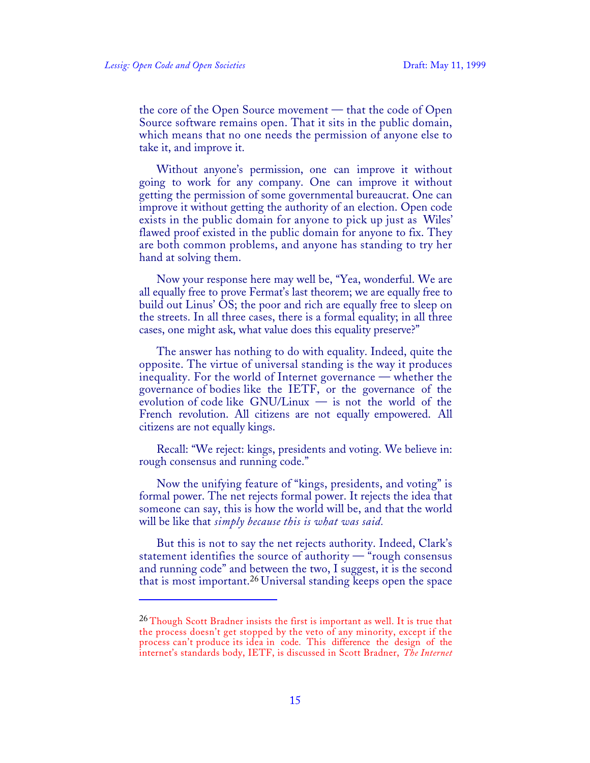$\overline{a}$ 

the core of the Open Source movement — that the code of Open Source software remains open. That it sits in the public domain, which means that no one needs the permission of anyone else to take it, and improve it.

Without anyone's permission, one can improve it without going to work for any company. One can improve it without getting the permission of some governmental bureaucrat. One can improve it without getting the authority of an election. Open code exists in the public domain for anyone to pick up just as Wiles' flawed proof existed in the public domain for anyone to fix. They are both common problems, and anyone has standing to try her hand at solving them.

Now your response here may well be, "Yea, wonderful. We are all equally free to prove Fermat's last theorem; we are equally free to build out Linus' OS; the poor and rich are equally free to sleep on the streets. In all three cases, there is a formal equality; in all three cases, one might ask, what value does this equality preserve?"

The answer has nothing to do with equality. Indeed, quite the opposite. The virtue of universal standing is the way it produces inequality. For the world of Internet governance — whether the governance of bodies like the IETF, or the governance of the evolution of code like GNU/Linux — is not the world of the French revolution. All citizens are not equally empowered. All citizens are not equally kings.

Recall: "We reject: kings, presidents and voting. We believe in: rough consensus and running code."

Now the unifying feature of "kings, presidents, and voting" is formal power. The net rejects formal power. It rejects the idea that someone can say, this is how the world will be, and that the world will be like that *simply because this is what was said.*

But this is not to say the net rejects authority. Indeed, Clark's statement identifies the source of authority — "rough consensus and running code" and between the two, I suggest, it is the second that is most important.26 Universal standing keeps open the space

<sup>&</sup>lt;sup>26</sup> Though Scott Bradner insists the first is important as well. It is true that the process doesn't get stopped by the veto of any minority, except if the process can't produce its idea in code. This difference the design of the internet's standards body, IETF, is discussed in Scott Bradner, *The Internet*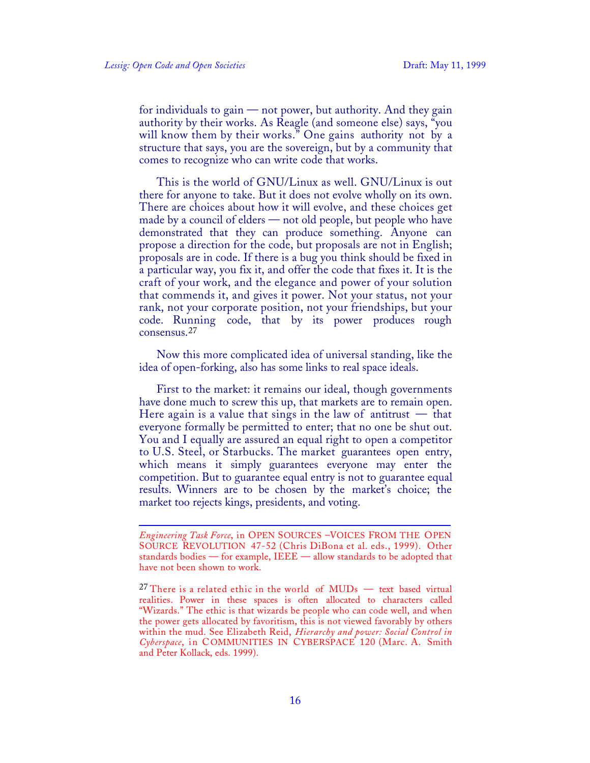for individuals to gain — not power, but authority. And they gain authority by their works. As Reagle (and someone else) says, "you will know them by their works." One gains authority not by a structure that says, you are the sovereign, but by a community that comes to recognize who can write code that works.

This is the world of GNU/Linux as well. GNU/Linux is out there for anyone to take. But it does not evolve wholly on its own. There are choices about how it will evolve, and these choices get made by a council of elders — not old people, but people who have demonstrated that they can produce something. Anyone can propose a direction for the code, but proposals are not in English; proposals are in code. If there is a bug you think should be fixed in a particular way, you fix it, and offer the code that fixes it. It is the craft of your work, and the elegance and power of your solution that commends it, and gives it power. Not your status, not your rank, not your corporate position, not your friendships, but your code. Running code, that by its power produces rough consensus.<sup>27</sup>

Now this more complicated idea of universal standing, like the idea of open-forking, also has some links to real space ideals.

First to the market: it remains our ideal, though governments have done much to screw this up, that markets are to remain open. Here again is a value that sings in the law of antitrust  $-$  that everyone formally be permitted to enter; that no one be shut out. You and I equally are assured an equal right to open a competitor to U.S. Steel, or Starbucks. The market guarantees open entry, which means it simply guarantees everyone may enter the competition. But to guarantee equal entry is not to guarantee equal results. Winners are to be chosen by the market's choice; the market too rejects kings, presidents, and voting.

<sup>1</sup> *Engineering Task Force*, in OPEN SOURCES –VOICES FROM THE OPEN SOURCE REVOLUTION 47-52 (Chris DiBona et al. eds., 1999). Other standards bodies — for example, IEEE — allow standards to be adopted that have not been shown to work.

<sup>&</sup>lt;sup>27</sup> There is a related ethic in the world of  $MUDs$  — text based virtual realities. Power in these spaces is often allocated to characters called "Wizards." The ethic is that wizards be people who can code well, and when the power gets allocated by favoritism, this is not viewed favorably by others within the mud. See Elizabeth Reid, *Hierarchy and power: Social Control in Cyberspace*, in COMMUNITIES IN CYBERSPACE 120 (Marc. A. Smith and Peter Kollack, eds. 1999).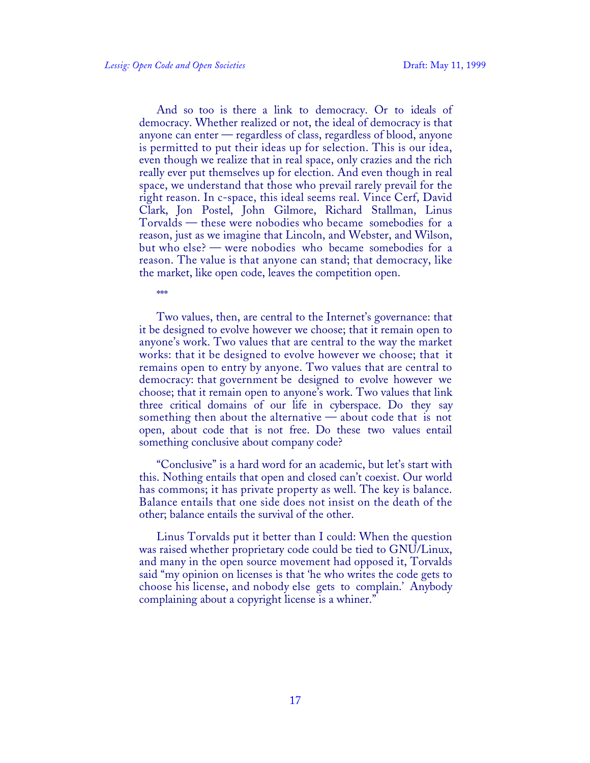And so too is there a link to democracy. Or to ideals of democracy. Whether realized or not, the ideal of democracy is that anyone can enter — regardless of class, regardless of blood, anyone is permitted to put their ideas up for selection. This is our idea, even though we realize that in real space, only crazies and the rich really ever put themselves up for election. And even though in real space, we understand that those who prevail rarely prevail for the right reason. In c-space, this ideal seems real. Vince Cerf, David Clark, Jon Postel, John Gilmore, Richard Stallman, Linus Torvalds — these were nobodies who became somebodies for a reason, just as we imagine that Lincoln, and Webster, and Wilson, but who else? — were nobodies who became somebodies for a reason. The value is that anyone can stand; that democracy, like the market, like open code, leaves the competition open.

\*\*\*

Two values, then, are central to the Internet's governance: that it be designed to evolve however we choose; that it remain open to anyone's work. Two values that are central to the way the market works: that it be designed to evolve however we choose; that it remains open to entry by anyone. Two values that are central to democracy: that government be designed to evolve however we choose; that it remain open to anyone's work. Two values that link three critical domains of our life in cyberspace. Do they say something then about the alternative — about code that is not open, about code that is not free. Do these two values entail something conclusive about company code?

"Conclusive" is a hard word for an academic, but let's start with this. Nothing entails that open and closed can't coexist. Our world has commons; it has private property as well. The key is balance. Balance entails that one side does not insist on the death of the other; balance entails the survival of the other.

Linus Torvalds put it better than I could: When the question was raised whether proprietary code could be tied to GNU/Linux, and many in the open source movement had opposed it, Torvalds said "my opinion on licenses is that 'he who writes the code gets to choose his license, and nobody else gets to complain.' Anybody complaining about a copyright license is a whiner."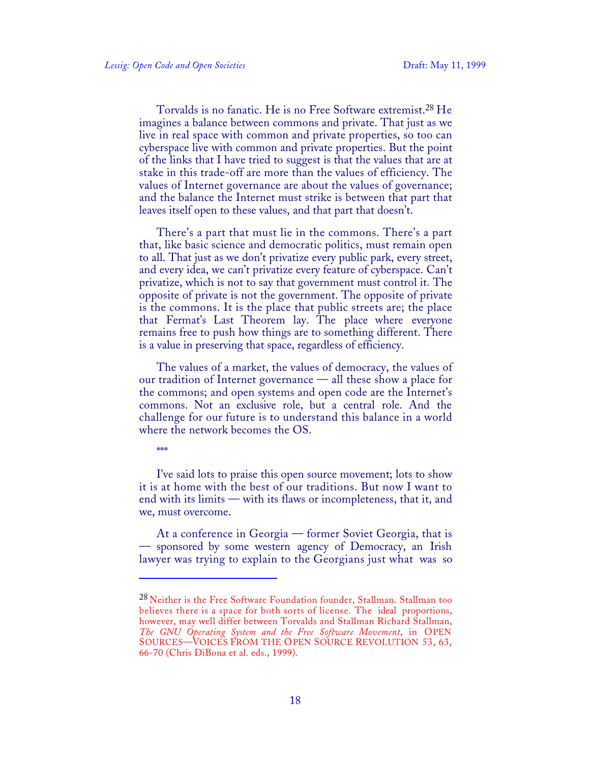Torvalds is no fanatic. He is no Free Software extremist.28 He imagines a balance between commons and private. That just as we live in real space with common and private properties, so too can cyberspace live with common and private properties. But the point of the links that I have tried to suggest is that the values that are at stake in this trade-off are more than the values of efficiency. The values of Internet governance are about the values of governance; and the balance the Internet must strike is between that part that leaves itself open to these values, and that part that doesn't.

There's a part that must lie in the commons. There's a part that, like basic science and democratic politics, must remain open to all. That just as we don't privatize every public park, every street, and every idea, we can't privatize every feature of cyberspace. Can't privatize, which is not to say that government must control it. The opposite of private is not the government. The opposite of private is the commons. It is the place that public streets are; the place that Fermat's Last Theorem lay. The place where everyone remains free to push how things are to something different. There is a value in preserving that space, regardless of efficiency.

The values of a market, the values of democracy, the values of our tradition of Internet governance — all these show a place for the commons; and open systems and open code are the Internet's commons. Not an exclusive role, but a central role. And the challenge for our future is to understand this balance in a world where the network becomes the OS.

\*\*\*\*

1

I've said lots to praise this open source movement; lots to show it is at home with the best of our traditions. But now I want to end with its limits — with its flaws or incompleteness, that it, and we, must overcome.

At a conference in Georgia — former Soviet Georgia, that is — sponsored by some western agency of Democracy, an Irish lawyer was trying to explain to the Georgians just what was so

<sup>&</sup>lt;sup>28</sup> Neither is the Free Software Foundation founder, Stallman. Stallman too believes there is a space for both sorts of license. The ideal proportions, however, may well differ between Torvalds and Stallman Richard Stallman, *The GNU Operating System and the Free Software Movement*, in OPEN SOURCES—VOICES FROM THE OPEN SOURCE REVOLUTION 53, 63, 66-70 (Chris DiBona et al. eds., 1999).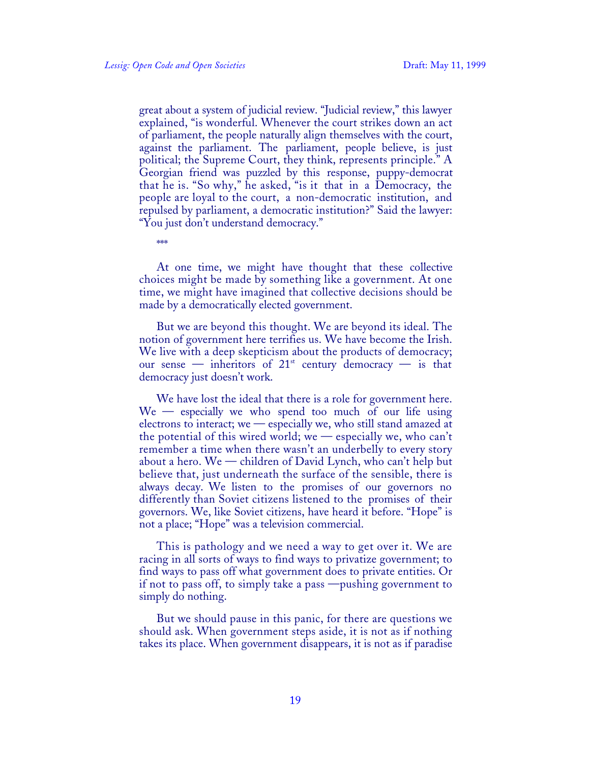great about a system of judicial review. "Judicial review," this lawyer explained, "is wonderful. Whenever the court strikes down an act of parliament, the people naturally align themselves with the court, against the parliament. The parliament, people believe, is just political; the Supreme Court, they think, represents principle." A Georgian friend was puzzled by this response, puppy-democrat that he is. "So why," he asked, "is it that in a Democracy, the people are loyal to the court, a non-democratic institution, and repulsed by parliament, a democratic institution?" Said the lawyer: "You just don't understand democracy."

\*\*\*

At one time, we might have thought that these collective choices might be made by something like a government. At one time, we might have imagined that collective decisions should be made by a democratically elected government.

But we are beyond this thought. We are beyond its ideal. The notion of government here terrifies us. We have become the Irish. We live with a deep skepticism about the products of democracy; our sense — inheritors of  $21<sup>st</sup>$  century democracy — is that democracy just doesn't work.

We have lost the ideal that there is a role for government here. We — especially we who spend too much of our life using electrons to interact; we — especially we, who still stand amazed at the potential of this wired world; we — especially we, who can't remember a time when there wasn't an underbelly to every story about a hero. We — children of David Lynch, who can't help but believe that, just underneath the surface of the sensible, there is always decay. We listen to the promises of our governors no differently than Soviet citizens listened to the promises of their governors. We, like Soviet citizens, have heard it before. "Hope" is not a place; "Hope" was a television commercial.

This is pathology and we need a way to get over it. We are racing in all sorts of ways to find ways to privatize government; to find ways to pass off what government does to private entities. Or if not to pass off, to simply take a pass —pushing government to simply do nothing.

But we should pause in this panic, for there are questions we should ask. When government steps aside, it is not as if nothing takes its place. When government disappears, it is not as if paradise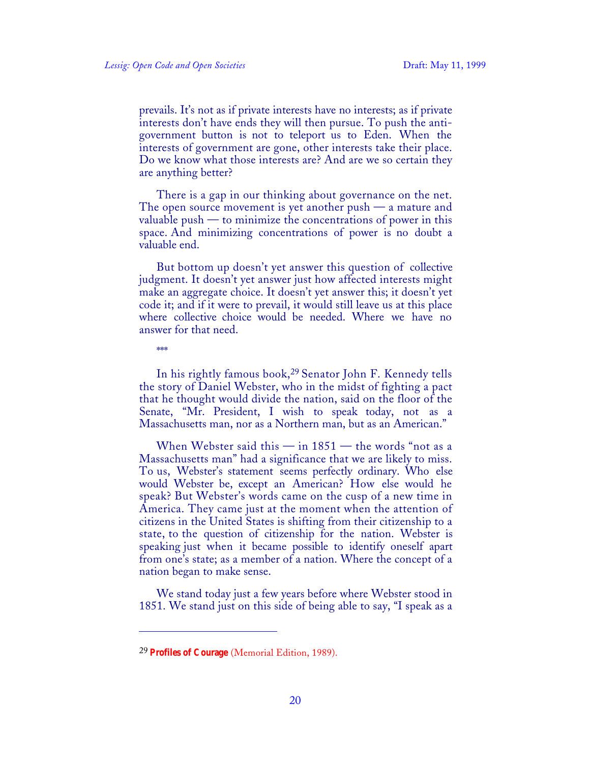prevails. It's not as if private interests have no interests; as if private interests don't have ends they will then pursue. To push the antigovernment button is not to teleport us to Eden. When the interests of government are gone, other interests take their place. Do we know what those interests are? And are we so certain they are anything better?

There is a gap in our thinking about governance on the net. The open source movement is yet another push  $-$  a mature and valuable push  $-$  to minimize the concentrations of power in this space. And minimizing concentrations of power is no doubt a valuable end.

But bottom up doesn't yet answer this question of collective judgment. It doesn't yet answer just how affected interests might make an aggregate choice. It doesn't yet answer this; it doesn't yet code it; and if it were to prevail, it would still leave us at this place where collective choice would be needed. Where we have no answer for that need.

\*\*\*

 $\overline{a}$ 

In his rightly famous book,29 Senator John F. Kennedy tells the story of Daniel Webster, who in the midst of fighting a pact that he thought would divide the nation, said on the floor of the Senate, "Mr. President, I wish to speak today, not as a Massachusetts man, nor as a Northern man, but as an American."

When Webster said this  $-$  in  $1851$   $-$  the words "not as a Massachusetts man" had a significance that we are likely to miss. To us, Webster's statement seems perfectly ordinary. Who else would Webster be, except an American? How else would he speak? But Webster's words came on the cusp of a new time in America. They came just at the moment when the attention of citizens in the United States is shifting from their citizenship to a state, to the question of citizenship for the nation. Webster is speaking just when it became possible to identify oneself apart from one's state; as a member of a nation. Where the concept of a nation began to make sense.

We stand today just a few years before where Webster stood in 1851. We stand just on this side of being able to say, "I speak as a

<sup>29</sup> **Profiles of Courage** (Memorial Edition, 1989).